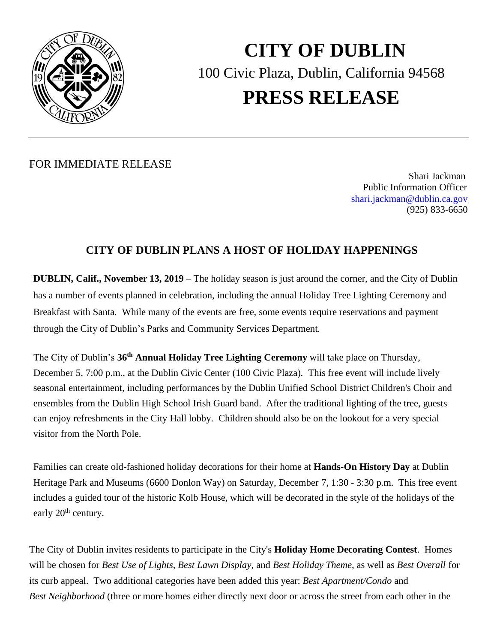

## **CITY OF DUBLIN** 100 Civic Plaza, Dublin, California 94568 **PRESS RELEASE**

FOR IMMEDIATE RELEASE

 Shari Jackman Public Information Officer [shari.jackman@dublin.ca.gov](mailto:shari.jackman@dublin.ca.gov) (925) 833-6650

## **CITY OF DUBLIN PLANS A HOST OF HOLIDAY HAPPENINGS**

**DUBLIN, Calif., November 13, 2019** – The holiday season is just around the corner, and the City of Dublin has a number of events planned in celebration, including the annual Holiday Tree Lighting Ceremony and Breakfast with Santa. While many of the events are free, some events require reservations and payment through the City of Dublin's Parks and Community Services Department.

The City of Dublin's **36 th Annual Holiday Tree Lighting Ceremony** will take place on Thursday, December 5, 7:00 p.m., at the Dublin Civic Center (100 Civic Plaza). This free event will include lively seasonal entertainment, including performances by the Dublin Unified School District Children's Choir and ensembles from the Dublin High School Irish Guard band. After the traditional lighting of the tree, guests can enjoy refreshments in the City Hall lobby. Children should also be on the lookout for a very special visitor from the North Pole.

Families can create old-fashioned holiday decorations for their home at **Hands-On History Day** at Dublin Heritage Park and Museums (6600 Donlon Way) on Saturday, December 7, 1:30 - 3:30 p.m. This free event includes a guided tour of the historic Kolb House, which will be decorated in the style of the holidays of the early  $20<sup>th</sup>$  century.

The City of Dublin invites residents to participate in the City's **Holiday Home Decorating Contest**. Homes will be chosen for *Best Use of Lights*, *Best Lawn Display*, and *Best Holiday Theme*, as well as *Best Overall* for its curb appeal. Two additional categories have been added this year: *Best Apartment/Condo* and *Best Neighborhood* (three or more homes either directly next door or across the street from each other in the